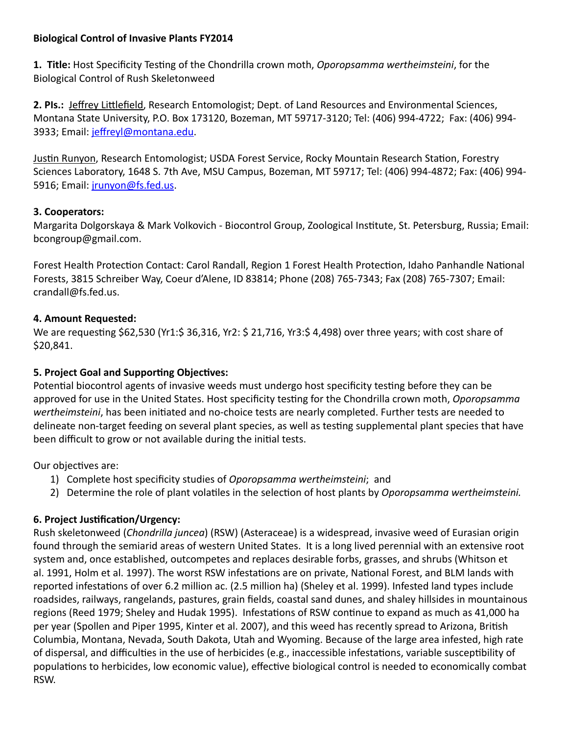## **Biological Control of Invasive Plants FY2014**

**1. Title:** Host Specificity Testing of the Chondrilla crown moth, *Oporopsamma wertheimsteini*, for the Biological Control of Rush Skeletonweed

**2. PIs.:** Jeffrey Littlefield, Research Entomologist; Dept. of Land Resources and Environmental Sciences, Montana State University, P.O. Box 173120, Bozeman, MT 59717-3120; Tel: (406) 994-4722; Fax: (406) 994 3933; Email: [jeffreyl@montana.edu.](mailto:jeffreyl@montana.edu)

Justin Runyon, Research Entomologist; USDA Forest Service, Rocky Mountain Research Station, Forestry Sciences Laboratory, 1648 S. 7th Ave, MSU Campus, Bozeman, MT 59717; Tel: (406) 994-4872; Fax: (406) 994- 5916; Email: [jrunyon@fs.fed.us.](mailto:jrunyon@fs.fed.us)

# **3. Cooperators:**

Margarita Dolgorskaya & Mark Volkovich - Biocontrol Group, Zoological Institute, St. Petersburg, Russia; Email: bcongroup@gmail.com.

Forest Health Protection Contact: Carol Randall, Region 1 Forest Health Protection, Idaho Panhandle National Forests, 3815 Schreiber Way, Coeur d'Alene, ID 83814; Phone (208) 765-7343; Fax (208) 765-7307; Email: crandall@fs.fed.us.

# **4. Amount Requested:**

We are requesting \$62,530 (Yr1:\$ 36,316, Yr2: \$ 21,716, Yr3:\$ 4,498) over three years; with cost share of \$20,841.

# **5. Project Goal and Supporting Objectives:**

Potential biocontrol agents of invasive weeds must undergo host specificity testing before they can be approved for use in the United States. Host specificity testing for the Chondrilla crown moth, *Oporopsamma wertheimsteini*, has been initiated and no-choice tests are nearly completed. Further tests are needed to delineate non-target feeding on several plant species, as well as testing supplemental plant species that have been difficult to grow or not available during the initial tests.

Our objectives are:

- 1) Complete host specificity studies of *Oporopsamma wertheimsteini*; and
- 2) Determine the role of plant volatiles in the selection of host plants by *Oporopsamma wertheimsteini.*

# **6. Project Justification/Urgency:**

Rush skeletonweed (*Chondrilla juncea*) (RSW) (Asteraceae) is a widespread, invasive weed of Eurasian origin found through the semiarid areas of western United States. It is a long lived perennial with an extensive root system and, once established, outcompetes and replaces desirable forbs, grasses, and shrubs (Whitson et al. 1991, Holm et al. 1997). The worst RSW infestations are on private, National Forest, and BLM lands with reported infestations of over 6.2 million ac. (2.5 million ha) (Sheley et al. 1999). Infested land types include roadsides, railways, rangelands, pastures, grain fields, coastal sand dunes, and shaley hillsides in mountainous regions (Reed 1979; Sheley and Hudak 1995). Infestations of RSW continue to expand as much as 41,000 ha per year (Spollen and Piper 1995, Kinter et al. 2007), and this weed has recently spread to Arizona, British Columbia, Montana, Nevada, South Dakota, Utah and Wyoming. Because of the large area infested, high rate of dispersal, and difficulties in the use of herbicides (e.g., inaccessible infestations, variable susceptibility of populations to herbicides, low economic value), effective biological control is needed to economically combat RSW.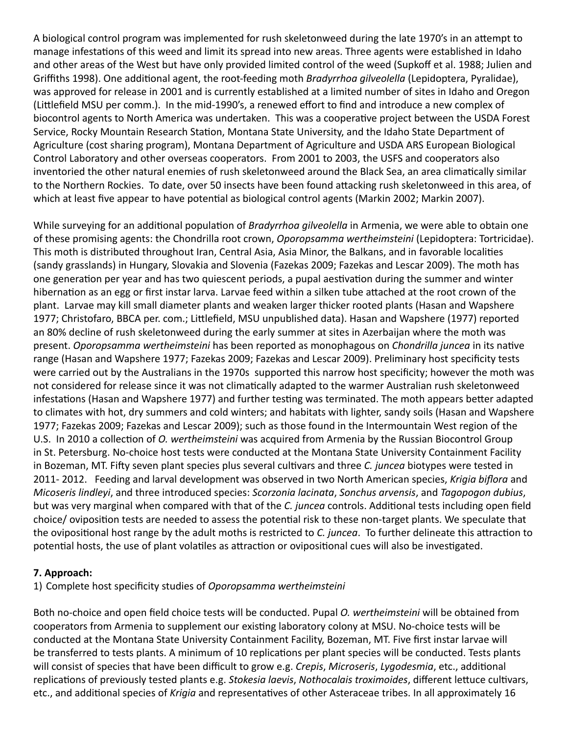A biological control program was implemented for rush skeletonweed during the late 1970's in an attempt to manage infestations of this weed and limit its spread into new areas. Three agents were established in Idaho and other areas of the West but have only provided limited control of the weed (Supkoff et al. 1988; Julien and Griffiths 1998). One additional agent, the root-feeding moth *Bradyrrhoa gilveolella* (Lepidoptera, Pyralidae), was approved for release in 2001 and is currently established at a limited number of sites in Idaho and Oregon (Littlefield MSU per comm.). In the mid-1990's, a renewed effort to find and introduce a new complex of biocontrol agents to North America was undertaken. This was a cooperative project between the USDA Forest Service, Rocky Mountain Research Station, Montana State University, and the Idaho State Department of Agriculture (cost sharing program), Montana Department of Agriculture and USDA ARS European Biological Control Laboratory and other overseas cooperators. From 2001 to 2003, the USFS and cooperators also inventoried the other natural enemies of rush skeletonweed around the Black Sea, an area climatically similar to the Northern Rockies. To date, over 50 insects have been found attacking rush skeletonweed in this area, of which at least five appear to have potential as biological control agents (Markin 2002; Markin 2007).

While surveying for an additional population of *Bradyrrhoa gilveolella* in Armenia, we were able to obtain one of these promising agents: the Chondrilla root crown, *Oporopsamma wertheimsteini* (Lepidoptera: Tortricidae). This moth is distributed throughout Iran, Central Asia, Asia Minor, the Balkans, and in favorable localities (sandy grasslands) in Hungary, Slovakia and Slovenia (Fazekas 2009; Fazekas and Lescar 2009). The moth has one generation per year and has two quiescent periods, a pupal aestivation during the summer and winter hibernation as an egg or first instar larva. Larvae feed within a silken tube attached at the root crown of the plant. Larvae may kill small diameter plants and weaken larger thicker rooted plants (Hasan and Wapshere 1977; Christofaro, BBCA per. com.; Littlefield, MSU unpublished data). Hasan and Wapshere (1977) reported an 80% decline of rush skeletonweed during the early summer at sites in Azerbaijan where the moth was present. *Oporopsamma wertheimsteini* has been reported as monophagous on *Chondrilla juncea* in its native range (Hasan and Wapshere 1977; Fazekas 2009; Fazekas and Lescar 2009). Preliminary host specificity tests were carried out by the Australians in the 1970s supported this narrow host specificity; however the moth was not considered for release since it was not climatically adapted to the warmer Australian rush skeletonweed infestations (Hasan and Wapshere 1977) and further testing was terminated. The moth appears better adapted to climates with hot, dry summers and cold winters; and habitats with lighter, sandy soils (Hasan and Wapshere 1977; Fazekas 2009; Fazekas and Lescar 2009); such as those found in the Intermountain West region of the U.S. In 2010 a collection of *O. wertheimsteini* was acquired from Armenia by the Russian Biocontrol Group in St. Petersburg. No-choice host tests were conducted at the Montana State University Containment Facility in Bozeman, MT. Fifty seven plant species plus several cultivars and three *C. juncea* biotypes were tested in 2011- 2012. Feeding and larval development was observed in two North American species, *Krigia biflora* and *Micoseris lindleyi*, and three introduced species: *Scorzonia lacinata*, *Sonchus arvensis*, and *Tagopogon dubius*, but was very marginal when compared with that of the *C. juncea* controls. Additional tests including open field choice/ oviposition tests are needed to assess the potential risk to these non-target plants. We speculate that the ovipositional host range by the adult moths is restricted to *C. juncea*. To further delineate this attraction to potential hosts, the use of plant volatiles as attraction or ovipositional cues will also be investigated.

## **7. Approach:**

1) Complete host specificity studies of *Oporopsamma wertheimsteini*

Both no-choice and open field choice tests will be conducted. Pupal *O. wertheimsteini* will be obtained from cooperators from Armenia to supplement our existing laboratory colony at MSU. No-choice tests will be conducted at the Montana State University Containment Facility, Bozeman, MT. Five first instar larvae will be transferred to tests plants. A minimum of 10 replications per plant species will be conducted. Tests plants will consist of species that have been difficult to grow e.g. *Crepis*, *Microseris*, *Lygodesmia*, etc., additional replications of previously tested plants e.g. *Stokesia laevis*, *Nothocalais troximoides*, different lettuce cultivars, etc., and additional species of *Krigia* and representatives of other Asteraceae tribes. In all approximately 16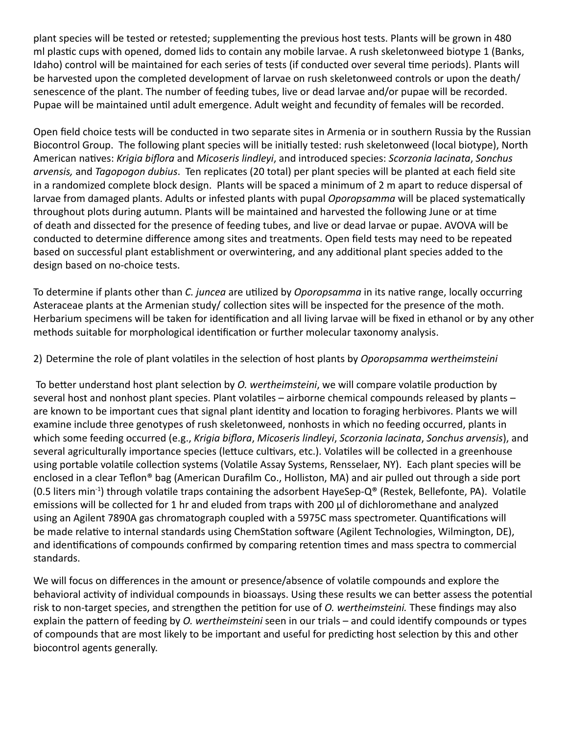plant species will be tested or retested; supplementing the previous host tests. Plants will be grown in 480 ml plastic cups with opened, domed lids to contain any mobile larvae. A rush skeletonweed biotype 1 (Banks, Idaho) control will be maintained for each series of tests (if conducted over several time periods). Plants will be harvested upon the completed development of larvae on rush skeletonweed controls or upon the death/ senescence of the plant. The number of feeding tubes, live or dead larvae and/or pupae will be recorded. Pupae will be maintained until adult emergence. Adult weight and fecundity of females will be recorded.

Open field choice tests will be conducted in two separate sites in Armenia or in southern Russia by the Russian Biocontrol Group. The following plant species will be initially tested: rush skeletonweed (local biotype), North American natives: *Krigia biflora* and *Micoseris lindleyi*, and introduced species: *Scorzonia lacinata*, *Sonchus arvensis,* and *Tagopogon dubius*. Ten replicates (20 total) per plant species will be planted at each field site in a randomized complete block design. Plants will be spaced a minimum of 2 m apart to reduce dispersal of larvae from damaged plants. Adults or infested plants with pupal *Oporopsamma* will be placed systematically throughout plots during autumn. Plants will be maintained and harvested the following June or at time of death and dissected for the presence of feeding tubes, and live or dead larvae or pupae. AVOVA will be conducted to determine difference among sites and treatments. Open field tests may need to be repeated based on successful plant establishment or overwintering, and any additional plant species added to the design based on no-choice tests.

To determine if plants other than *C. juncea* are utilized by *Oporopsamma* in its native range, locally occurring Asteraceae plants at the Armenian study/ collection sites will be inspected for the presence of the moth. Herbarium specimens will be taken for identification and all living larvae will be fixed in ethanol or by any other methods suitable for morphological identification or further molecular taxonomy analysis.

2) Determine the role of plant volatiles in the selection of host plants by *Oporopsamma wertheimsteini*

 To better understand host plant selection by *O. wertheimsteini*, we will compare volatile production by several host and nonhost plant species. Plant volatiles – airborne chemical compounds released by plants – are known to be important cues that signal plant identity and location to foraging herbivores. Plants we will examine include three genotypes of rush skeletonweed, nonhosts in which no feeding occurred, plants in which some feeding occurred (e.g., *Krigia biflora*, *Micoseris lindleyi*, *Scorzonia lacinata*, *Sonchus arvensis*), and several agriculturally importance species (lettuce cultivars, etc.). Volatiles will be collected in a greenhouse using portable volatile collection systems (Volatile Assay Systems, Rensselaer, NY). Each plant species will be enclosed in a clear Teflon® bag (American Durafilm Co., Holliston, MA) and air pulled out through a side port  $(0.5$  liters min<sup>-1</sup>) through volatile traps containing the adsorbent HayeSep-Q<sup>®</sup> (Restek, Bellefonte, PA). Volatile emissions will be collected for 1 hr and eluded from traps with 200 μl of dichloromethane and analyzed using an Agilent 7890A gas chromatograph coupled with a 5975C mass spectrometer. Quantifications will be made relative to internal standards using ChemStation software (Agilent Technologies, Wilmington, DE), and identifications of compounds confirmed by comparing retention times and mass spectra to commercial standards.

We will focus on differences in the amount or presence/absence of volatile compounds and explore the behavioral activity of individual compounds in bioassays. Using these results we can better assess the potential risk to non-target species, and strengthen the petition for use of *O. wertheimsteini.* These findings may also explain the pattern of feeding by *O. wertheimsteini* seen in our trials – and could identify compounds or types of compounds that are most likely to be important and useful for predicting host selection by this and other biocontrol agents generally.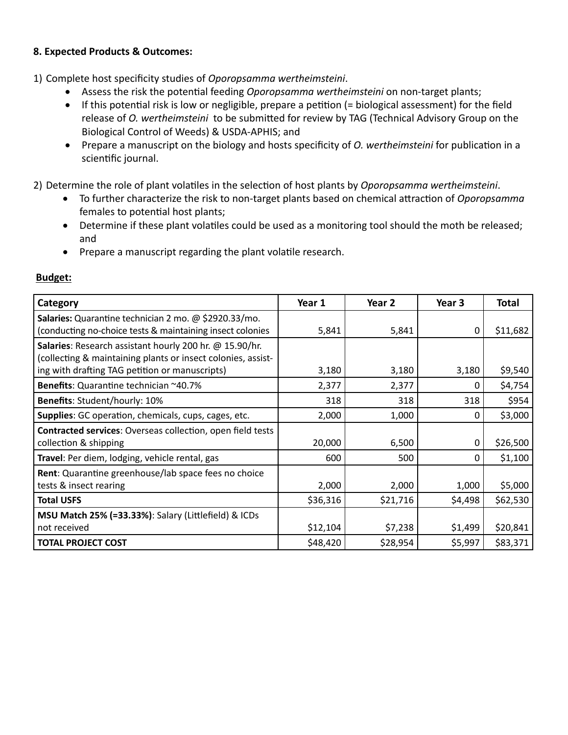## **8. Expected Products & Outcomes:**

1) Complete host specificity studies of *Oporopsamma wertheimsteini*.

- Assess the risk the potential feeding *Oporopsamma wertheimsteini* on non-target plants;
- If this potential risk is low or negligible, prepare a petition (= biological assessment) for the field release of *O. wertheimsteini* to be submitted for review by TAG (Technical Advisory Group on the Biological Control of Weeds) & USDA-APHIS; and
- • Prepare a manuscript on the biology and hosts specificity of *O. wertheimsteini* for publication in a scientific journal.

2) Determine the role of plant volatiles in the selection of host plants by *Oporopsamma wertheimsteini*.

- • To further characterize the risk to non-target plants based on chemical attraction of *Oporopsamma* females to potential host plants;
- Determine if these plant volatiles could be used as a monitoring tool should the moth be released; and
- Prepare a manuscript regarding the plant volatile research.

| Category                                                                                                                | Year 1   | Year 2   | Year 3   | Total    |
|-------------------------------------------------------------------------------------------------------------------------|----------|----------|----------|----------|
| Salaries: Quarantine technician 2 mo. @ \$2920.33/mo.<br>(conducting no-choice tests & maintaining insect colonies      | 5,841    | 5,841    | 0        | \$11,682 |
| Salaries: Research assistant hourly 200 hr. @ 15.90/hr.<br>(collecting & maintaining plants or insect colonies, assist- |          |          |          |          |
| ing with drafting TAG petition or manuscripts)                                                                          | 3,180    | 3,180    | 3,180    | \$9,540  |
| Benefits: Quarantine technician ~40.7%                                                                                  | 2,377    | 2,377    | 0        | \$4,754  |
| Benefits: Student/hourly: 10%                                                                                           | 318      | 318      | 318      | \$954    |
| Supplies: GC operation, chemicals, cups, cages, etc.                                                                    | 2,000    | 1,000    | $\Omega$ | \$3,000  |
| <b>Contracted services: Overseas collection, open field tests</b>                                                       |          |          |          |          |
| collection & shipping                                                                                                   | 20,000   | 6,500    | 0        | \$26,500 |
| Travel: Per diem, lodging, vehicle rental, gas                                                                          | 600      | 500      | $\Omega$ | \$1,100  |
| Rent: Quarantine greenhouse/lab space fees no choice                                                                    |          |          |          |          |
| tests & insect rearing                                                                                                  | 2,000    | 2,000    | 1,000    | \$5,000  |
| <b>Total USFS</b>                                                                                                       | \$36,316 | \$21,716 | \$4,498  | \$62,530 |
| <b>MSU Match 25% (=33.33%): Salary (Littlefield) &amp; ICDs</b>                                                         |          |          |          |          |
| not received                                                                                                            | \$12,104 | \$7,238  | \$1,499  | \$20,841 |
| <b>TOTAL PROJECT COST</b>                                                                                               | \$48,420 | \$28,954 | \$5,997  | \$83,371 |

# **Budget:**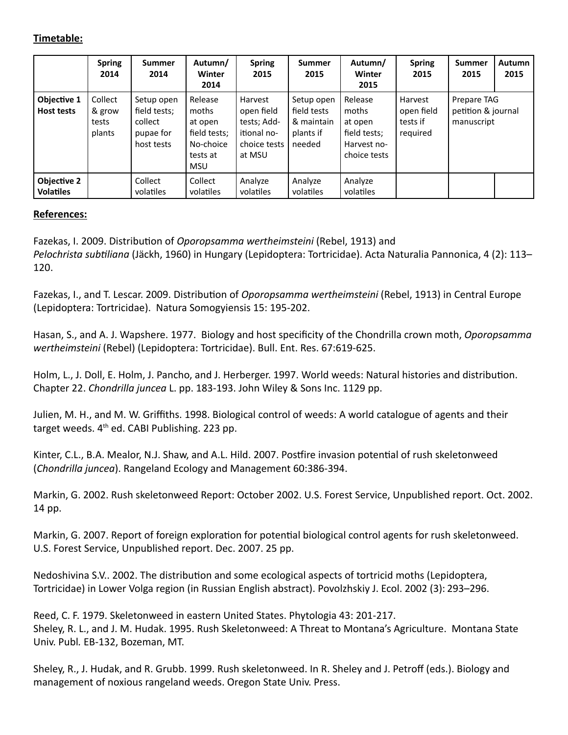### **Timetable:**

|                                        | <b>Spring</b><br>2014                | <b>Summer</b><br>2014                                            | Autumn/<br>Winter<br>2014                                                          | <b>Spring</b><br>2015                                                         | <b>Summer</b><br>2015                                          | Autumn/<br>Winter<br>2015                                                  | <b>Spring</b><br>2015                         | <b>Summer</b><br>2015                           | <b>Autumn</b><br>2015 |
|----------------------------------------|--------------------------------------|------------------------------------------------------------------|------------------------------------------------------------------------------------|-------------------------------------------------------------------------------|----------------------------------------------------------------|----------------------------------------------------------------------------|-----------------------------------------------|-------------------------------------------------|-----------------------|
| Objective 1<br><b>Host tests</b>       | Collect<br>& grow<br>tests<br>plants | Setup open<br>field tests;<br>collect<br>pupae for<br>host tests | Release<br>moths<br>at open<br>field tests;<br>No-choice<br>tests at<br><b>MSU</b> | Harvest<br>open field<br>tests; Add-<br>itional no-<br>choice tests<br>at MSU | Setup open<br>field tests<br>& maintain<br>plants if<br>needed | Release<br>moths<br>at open<br>field tests;<br>Harvest no-<br>choice tests | Harvest<br>open field<br>tests if<br>required | Prepare TAG<br>petition & journal<br>manuscript |                       |
| <b>Objective 2</b><br><b>Volatiles</b> |                                      | Collect<br>volatiles                                             | Collect<br>volatiles                                                               | Analyze<br>volatiles                                                          | Analyze<br>volatiles                                           | Analyze<br>volatiles                                                       |                                               |                                                 |                       |

### **References:**

Fazekas, I. 2009. Distribution of *Oporopsamma wertheimsteini* (Rebel, 1913) and *Pelochrista subtiliana* (Jäckh, 1960) in Hungary (Lepidoptera: Tortricidae). Acta Naturalia Pannonica, 4 (2): 113– 120.

Fazekas, I., and T. Lescar. 2009. Distribution of *Oporopsamma wertheimsteini* (Rebel, 1913) in Central Europe (Lepidoptera: Tortricidae). Natura Somogyiensis 15: 195-202.

Hasan, S., and A. J. Wapshere. 1977. Biology and host specificity of the Chondrilla crown moth, *Oporopsamma wertheimsteini* (Rebel) (Lepidoptera: Tortricidae). Bull. Ent. Res. 67:619-625.

Holm, L., J. Doll, E. Holm, J. Pancho, and J. Herberger. 1997. World weeds: Natural histories and distribution. Chapter 22. *Chondrilla juncea* L. pp. 183-193. John Wiley & Sons Inc. 1129 pp.

Julien, M. H., and M. W. Griffiths. 1998. Biological control of weeds: A world catalogue of agents and their target weeds. 4<sup>th</sup> ed. CABI Publishing. 223 pp.

Kinter, C.L., B.A. Mealor, N.J. Shaw, and A.L. Hild. 2007. Postfire invasion potential of rush skeletonweed (*Chondrilla juncea*). Rangeland Ecology and Management 60:386-394.

Markin, G. 2002. Rush skeletonweed Report: October 2002. U.S. Forest Service, Unpublished report. Oct. 2002. 14 pp.

Markin, G. 2007. Report of foreign exploration for potential biological control agents for rush skeletonweed. U.S. Forest Service, Unpublished report. Dec. 2007. 25 pp.

Nedoshivina S.V.. 2002. The distribution and some ecological aspects of tortricid moths (Lepidoptera, Tortricidae) in Lower Volga region (in Russian English abstract). Povolzhskiy J. Ecol. 2002 (3): 293–296.

Reed, C. F. 1979. Skeletonweed in eastern United States. Phytologia 43: 201-217. Sheley, R. L., and J. M. Hudak. 1995. Rush Skeletonweed: A Threat to Montana's Agriculture. Montana State Univ. Publ*.* EB-132, Bozeman, MT.

Sheley, R., J. Hudak, and R. Grubb. 1999. Rush skeletonweed. In R. Sheley and J. Petroff (eds.). Biology and management of noxious rangeland weeds. Oregon State Univ. Press.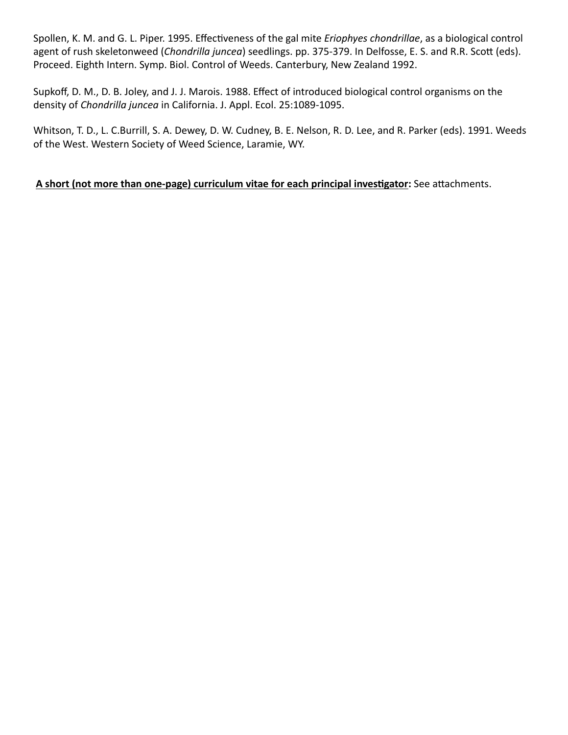Spollen, K. M. and G. L. Piper. 1995. Effectiveness of the gal mite *Eriophyes chondrillae*, as a biological control agent of rush skeletonweed (*Chondrilla juncea*) seedlings. pp. 375-379. In Delfosse, E. S. and R.R. Scott (eds). Proceed. Eighth Intern. Symp. Biol. Control of Weeds. Canterbury, New Zealand 1992.

Supkoff, D. M., D. B. Joley, and J. J. Marois. 1988. Effect of introduced biological control organisms on the density of *Chondrilla juncea* in California. J. Appl. Ecol. 25:1089-1095.

Whitson, T. D., L. C.Burrill, S. A. Dewey, D. W. Cudney, B. E. Nelson, R. D. Lee, and R. Parker (eds). 1991. Weeds of the West. Western Society of Weed Science, Laramie, WY.

**A short (not more than one-page) curriculum vitae for each principal investigator:** See attachments.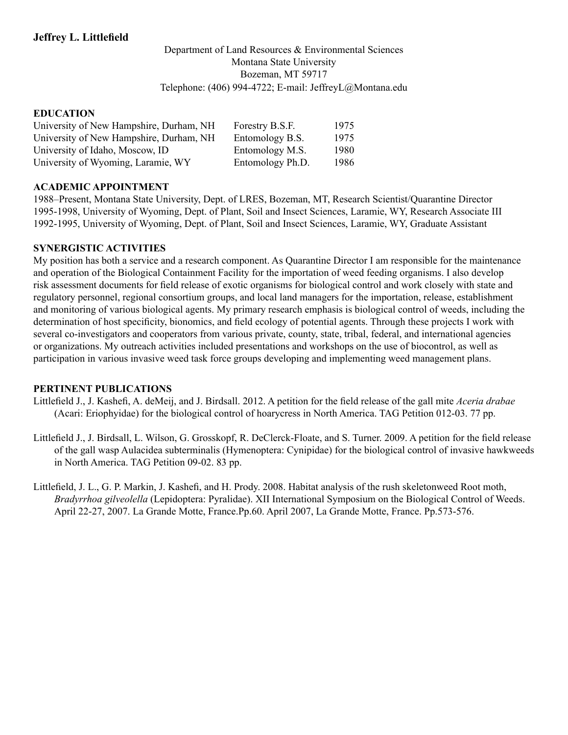#### Department of Land Resources & Environmental Sciences Montana State University Bozeman, MT 59717 Telephone: (406) 994-4722; E-mail: JeffreyL@Montana.edu

#### **EDUCATION**

| University of New Hampshire, Durham, NH | Forestry B.S.F.  | 1975 |
|-----------------------------------------|------------------|------|
| University of New Hampshire, Durham, NH | Entomology B.S.  | 1975 |
| University of Idaho, Moscow, ID         | Entomology M.S.  | 1980 |
| University of Wyoming, Laramie, WY      | Entomology Ph.D. | 1986 |

#### **ACADEMIC APPOINTMENT**

1988–Present, Montana State University, Dept. of LRES, Bozeman, MT, Research Scientist/Quarantine Director 1995-1998, University of Wyoming, Dept. of Plant, Soil and Insect Sciences, Laramie, WY, Research Associate III 1992-1995, University of Wyoming, Dept. of Plant, Soil and Insect Sciences, Laramie, WY, Graduate Assistant

#### **SYNERGISTIC ACTIVITIES**

My position has both a service and a research component. As Quarantine Director I am responsible for the maintenance and operation of the Biological Containment Facility for the importation of weed feeding organisms. I also develop risk assessment documents for field release of exotic organisms for biological control and work closely with state and regulatory personnel, regional consortium groups, and local land managers for the importation, release, establishment and monitoring of various biological agents. My primary research emphasis is biological control of weeds, including the determination of host specificity, bionomics, and field ecology of potential agents. Through these projects I work with several co-investigators and cooperators from various private, county, state, tribal, federal, and international agencies or organizations. My outreach activities included presentations and workshops on the use of biocontrol, as well as participation in various invasive weed task force groups developing and implementing weed management plans.

#### **PERTINENT PUBLICATIONS**

- Littlefield J., J. Kashefi, A. deMeij, and J. Birdsall. 2012. A petition for the field release of the gall mite *Aceria drabae* (Acari: Eriophyidae) for the biological control of hoarycress in North America. TAG Petition 012-03. 77 pp.
- Littlefield J., J. Birdsall, L. Wilson, G. Grosskopf, R. DeClerck-Floate, and S. Turner. 2009. A petition for the field release of the gall wasp Aulacidea subterminalis (Hymenoptera: Cynipidae) for the biological control of invasive hawkweeds in North America. TAG Petition 09-02. 83 pp.
- Littlefield, J. L., G. P. Markin, J. Kashefi, and H. Prody. 2008. Habitat analysis of the rush skeletonweed Root moth, *Bradyrrhoa gilveolella* (Lepidoptera: Pyralidae). XII International Symposium on the Biological Control of Weeds. April 22-27, 2007. La Grande Motte, France.Pp.60. April 2007, La Grande Motte, France. Pp.573-576.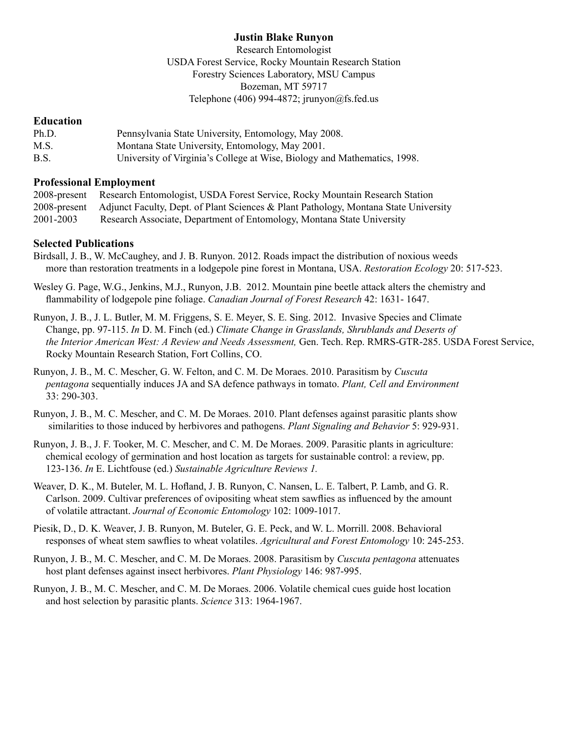### **Justin Blake Runyon**

Research Entomologist USDA Forest Service, Rocky Mountain Research Station Forestry Sciences Laboratory, MSU Campus Bozeman, MT 59717 Telephone (406) 994-4872; jrunyon $@$ fs.fed.us

#### **Education**

| Ph.D. | Pennsylvania State University, Entomology, May 2008.                     |
|-------|--------------------------------------------------------------------------|
| M.S.  | Montana State University, Entomology, May 2001.                          |
| B.S.  | University of Virginia's College at Wise, Biology and Mathematics, 1998. |

#### **Professional Employment**

| 2008-present | Research Entomologist, USDA Forest Service, Rocky Mountain Research Station                       |
|--------------|---------------------------------------------------------------------------------------------------|
|              | 2008-present Adjunct Faculty, Dept. of Plant Sciences & Plant Pathology, Montana State University |
| 2001-2003    | Research Associate, Department of Entomology, Montana State University                            |

### **Selected Publications**

- Birdsall, J. B., W. McCaughey, and J. B. Runyon. 2012. Roads impact the distribution of noxious weeds more than restoration treatments in a lodgepole pine forest in Montana, USA. *Restoration Ecology* 20: 517-523.
- Wesley G. Page, W.G., Jenkins, M.J., Runyon, J.B. 2012. Mountain pine beetle attack alters the chemistry and flammability of lodgepole pine foliage. *Canadian Journal of Forest Research* 42: 1631- 1647.
- Runyon, J. B., J. L. Butler, M. M. Friggens, S. E. Meyer, S. E. Sing. 2012. Invasive Species and Climate Change, pp. 97-115. *In* D. M. Finch (ed.) *Climate Change in Grasslands, Shrublands and Deserts of the Interior American West: A Review and Needs Assessment,* Gen. Tech. Rep. RMRS-GTR-285. USDA Forest Service, Rocky Mountain Research Station, Fort Collins, CO.
- Runyon, J. B., M. C. Mescher, G. W. Felton, and C. M. De Moraes. 2010. Parasitism by *Cuscuta pentagona* sequentially induces JA and SA defence pathways in tomato. *Plant, Cell and Environment*  33: 290-303.
- Runyon, J. B., M. C. Mescher, and C. M. De Moraes. 2010. Plant defenses against parasitic plants show similarities to those induced by herbivores and pathogens. *Plant Signaling and Behavior* 5: 929-931.
- Runyon, J. B., J. F. Tooker, M. C. Mescher, and C. M. De Moraes. 2009. Parasitic plants in agriculture: chemical ecology of germination and host location as targets for sustainable control: a review, pp. 123-136. *In* E. Lichtfouse (ed.) *Sustainable Agriculture Reviews 1.*
- Weaver, D. K., M. Buteler, M. L. Hofland, J. B. Runyon, C. Nansen, L. E. Talbert, P. Lamb, and G. R. Carlson. 2009. Cultivar preferences of ovipositing wheat stem sawflies as influenced by the amount of volatile attractant. *Journal of Economic Entomology* 102: 1009-1017.
- Piesik, D., D. K. Weaver, J. B. Runyon, M. Buteler, G. E. Peck, and W. L. Morrill. 2008. Behavioral responses of wheat stem sawflies to wheat volatiles. *Agricultural and Forest Entomology* 10: 245-253.
- Runyon, J. B., M. C. Mescher, and C. M. De Moraes. 2008. Parasitism by *Cuscuta pentagona* attenuates host plant defenses against insect herbivores. *Plant Physiology* 146: 987-995.
- Runyon, J. B., M. C. Mescher, and C. M. De Moraes. 2006. Volatile chemical cues guide host location and host selection by parasitic plants. *Science* 313: 1964-1967.